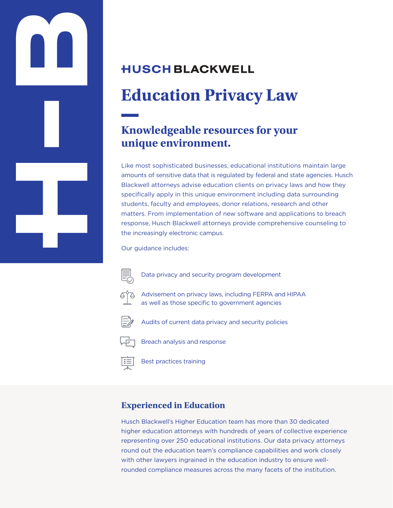# **HUSCH BLACKWELL Education Privacy Law**

## **Knowledgeable resources for your unique environment.**

Like most sophisticated businesses, educational institutions maintain large amounts of sensitive data that is regulated by federal and state agencies. Husch Blackwell attorneys advise education clients on privacy laws and how they specifically apply in this unique environment including data surrounding students, faculty and employees, donor relations, research and other matters. From implementation of new software and applications to breach response, Husch Blackwell attorneys provide comprehensive counseling to the increasingly electronic campus.

Our guidance includes:



Data privacy and security program development



Advisement on privacy laws, including FERPA and HIPAA as well as those specific to government agencies



Audits of current data privacy and security policies



Breach analysis and response

Best practices training

### **Experienced in Education**

Husch Blackwell's Higher Education team has more than 30 dedicated higher education attorneys with hundreds of years of collective experience representing over 250 educational institutions. Our data privacy attorneys round out the education team's compliance capabilities and work closely with other lawyers ingrained in the education industry to ensure wellrounded compliance measures across the many facets of the institution.